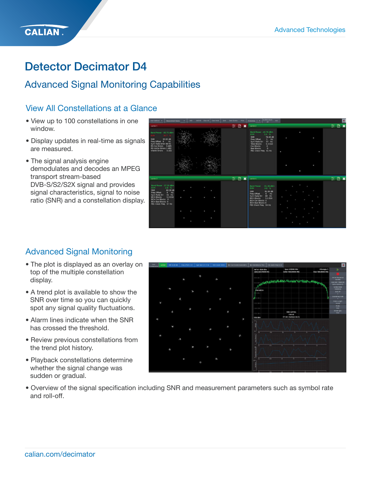## Detector Decimator D4

## Advanced Signal Monitoring Capabilities

### View All Constellations at a Glance

- View up to 100 constellations in one window.
- Display updates in real-time as signals are measured.
- The signal analysis engine demodulates and decodes an MPEG transport stream-based DVB-S/S2/S2X signal and provides signal characteristics, signal to noise ratio (SNR) and a constellation display.



## Advanced Signal Monitoring

- The plot is displayed as an overlay on top of the multiple constellation display.
- A trend plot is available to show the SNR over time so you can quickly spot any signal quality fluctuations.
- Alarm lines indicate when the SNR has crossed the threshold.
- Review previous constellations from the trend plot history.
- Playback constellations determine whether the signal change was sudden or gradual.



• Overview of the signal specification including SNR and measurement parameters such as symbol rate and roll-off.